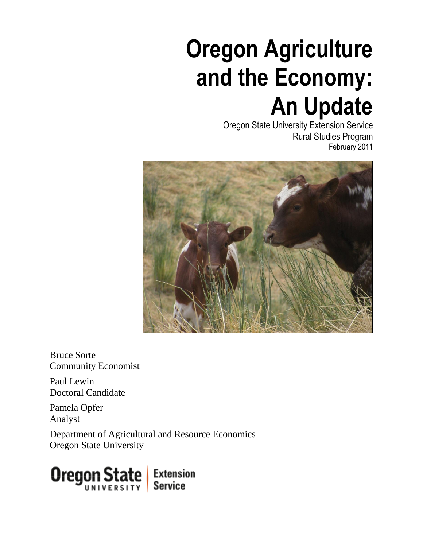# **Oregon Agriculture and the Economy: An Update**

Oregon State University Extension Service Rural Studies Program February 2011



Bruce Sorte Community Economist

Paul Lewin Doctoral Candidate

Pamela Opfer Analyst

Department of Agricultural and Resource Economics Oregon State University

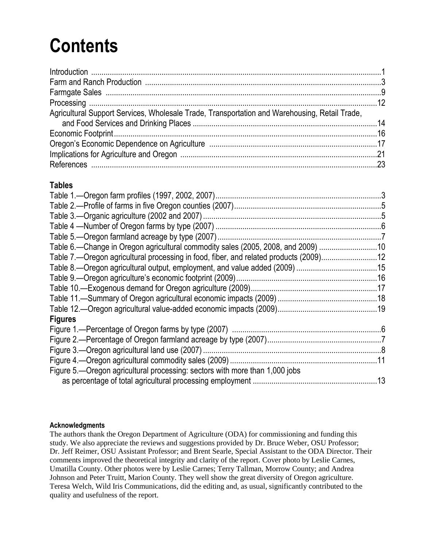## **Contents**

| Agricultural Support Services, Wholesale Trade, Transportation and Warehousing, Retail Trade, |  |
|-----------------------------------------------------------------------------------------------|--|
|                                                                                               |  |
|                                                                                               |  |
|                                                                                               |  |
|                                                                                               |  |
|                                                                                               |  |

#### **Tables**

| Table 6.—Change in Oregon agricultural commodity sales (2005, 2008, and 2009) 10      |  |
|---------------------------------------------------------------------------------------|--|
| Table 7.—Oregon agricultural processing in food, fiber, and related products (2009)12 |  |
|                                                                                       |  |
|                                                                                       |  |
|                                                                                       |  |
|                                                                                       |  |
|                                                                                       |  |
| <b>Figures</b>                                                                        |  |
|                                                                                       |  |
|                                                                                       |  |
|                                                                                       |  |
|                                                                                       |  |
| Figure 5.—Oregon agricultural processing: sectors with more than 1,000 jobs           |  |
|                                                                                       |  |

#### **Acknowledgments**

The authors thank the Oregon Department of Agriculture (ODA) for commissioning and funding this study. We also appreciate the reviews and suggestions provided by Dr. Bruce Weber, OSU Professor; Dr. Jeff Reimer, OSU Assistant Professor; and Brent Searle, Special Assistant to the ODA Director. Their comments improved the theoretical integrity and clarity of the report. Cover photo by Leslie Carnes, Umatilla County. Other photos were by Leslie Carnes; Terry Tallman, Morrow County; and Andrea Johnson and Peter Truitt, Marion County. They well show the great diversity of Oregon agriculture. Teresa Welch, Wild Iris Communications, did the editing and, as usual, significantly contributed to the quality and usefulness of the report.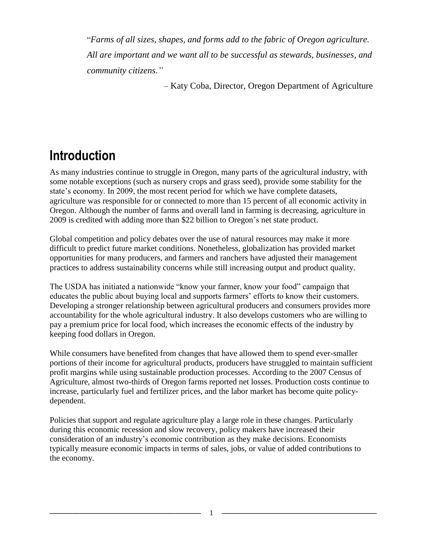―*Farms of all sizes, shapes, and forms add to the fabric of Oregon agriculture. All are important and we want all to be successful as stewards, businesses, and community citizens."*

– Katy Coba, Director, Oregon Department of Agriculture

#### **Introduction**

As many industries continue to struggle in Oregon, many parts of the agricultural industry, with some notable exceptions (such as nursery crops and grass seed), provide some stability for the state's economy. In 2009, the most recent period for which we have complete datasets, agriculture was responsible for or connected to more than 15 percent of all economic activity in Oregon. Although the number of farms and overall land in farming is decreasing, agriculture in 2009 is credited with adding more than \$22 billion to Oregon's net state product.

Global competition and policy debates over the use of natural resources may make it more difficult to predict future market conditions. Nonetheless, globalization has provided market opportunities for many producers, and farmers and ranchers have adjusted their management practices to address sustainability concerns while still increasing output and product quality.

The USDA has initiated a nationwide "know your farmer, know your food" campaign that educates the public about buying local and supports farmers' efforts to know their customers. Developing a stronger relationship between agricultural producers and consumers provides more accountability for the whole agricultural industry. It also develops customers who are willing to pay a premium price for local food, which increases the economic effects of the industry by keeping food dollars in Oregon.

While consumers have benefited from changes that have allowed them to spend ever-smaller portions of their income for agricultural products, producers have struggled to maintain sufficient profit margins while using sustainable production processes. According to the 2007 Census of Agriculture, almost two-thirds of Oregon farms reported net losses. Production costs continue to increase, particularly fuel and fertilizer prices, and the labor market has become quite policydependent.

Policies that support and regulate agriculture play a large role in these changes. Particularly during this economic recession and slow recovery, policy makers have increased their consideration of an industry's economic contribution as they make decisions. Economists typically measure economic impacts in terms of sales, jobs, or value of added contributions to the economy.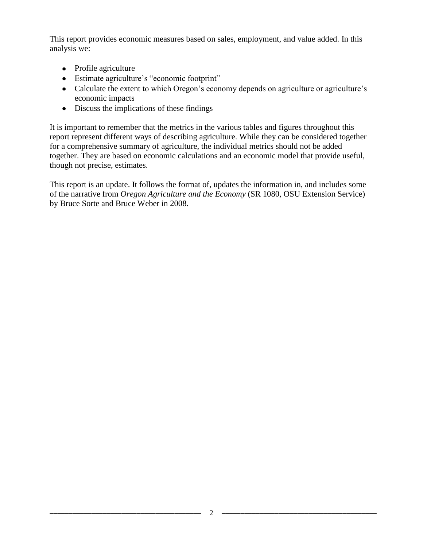This report provides economic measures based on sales, employment, and value added. In this analysis we:

- Profile agriculture
- Estimate agriculture's "economic footprint"
- Calculate the extent to which Oregon's economy depends on agriculture or agriculture's economic impacts
- Discuss the implications of these findings

It is important to remember that the metrics in the various tables and figures throughout this report represent different ways of describing agriculture. While they can be considered together for a comprehensive summary of agriculture, the individual metrics should not be added together. They are based on economic calculations and an economic model that provide useful, though not precise, estimates.

This report is an update. It follows the format of, updates the information in, and includes some of the narrative from *Oregon Agriculture and the Economy* (SR 1080, OSU Extension Service) by Bruce Sorte and Bruce Weber in 2008.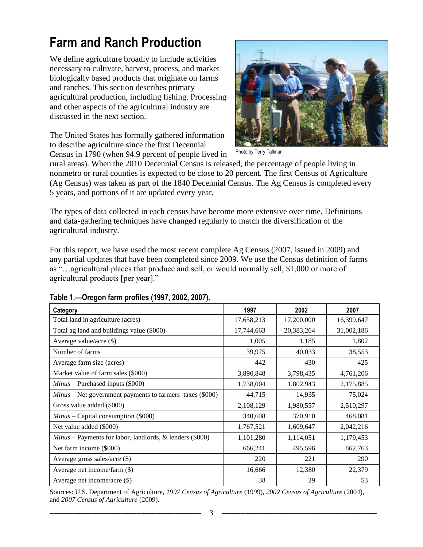### **Farm and Ranch Production**

We define agriculture broadly to include activities necessary to cultivate, harvest, process, and market biologically based products that originate on farms and ranches. This section describes primary agricultural production, including fishing. Processing and other aspects of the agricultural industry are discussed in the next section.

The United States has formally gathered information to describe agriculture since the first Decennial Census in 1790 (when 94.9 percent of people lived in



Photo by Terry Tallman

rural areas). When the 2010 Decennial Census is released, the percentage of people living in nonmetro or rural counties is expected to be close to 20 percent. The first Census of Agriculture (Ag Census) was taken as part of the 1840 Decennial Census. The Ag Census is completed every 5 years, and portions of it are updated every year.

The types of data collected in each census have become more extensive over time. Definitions and data-gathering techniques have changed regularly to match the diversification of the agricultural industry.

For this report, we have used the most recent complete Ag Census (2007, issued in 2009) and any partial updates that have been completed since 2009. We use the Census definition of farms as ―…agricultural places that produce and sell, or would normally sell, \$1,000 or more of agricultural products [per year]."

| Category                                                           | 1997       | 2002       | 2007       |
|--------------------------------------------------------------------|------------|------------|------------|
| Total land in agriculture (acres)                                  | 17,658,213 | 17,200,000 | 16,399,647 |
| Total ag land and buildings value (\$000)                          | 17,744,663 | 20,383,264 | 31,002,186 |
| Average value/acre $(\$)$                                          | 1,005      | 1,185      | 1,802      |
| Number of farms                                                    | 39,975     | 40,033     | 38,553     |
| Average farm size (acres)                                          | 442        | 430        | 425        |
| Market value of farm sales (\$000)                                 | 3,890,848  | 3,798,435  | 4,761,206  |
| $Minus$ – Purchased inputs (\$000)                                 | 1,738,004  | 1,802,943  | 2,175,885  |
| $Minus$ – Net government payments to farmers–taxes (\$000)         | 44,715     | 14,935     | 75,024     |
| Gross value added (\$000)                                          | 2,108,129  | 1,980,557  | 2,510,297  |
| $Minus - Capital consumption (\$000)$                              | 340,608    | 370,910    | 468,081    |
| Net value added (\$000)                                            | 1,767,521  | 1,609,647  | 2,042,216  |
| <i>Minus</i> – Payments for labor, landlords, $\&$ lenders (\$000) | 1,101,280  | 1,114,051  | 1,179,453  |
| Net farm income (\$000)                                            | 666,241    | 495,596    | 862,763    |
| Average gross sales/acre (\$)                                      | 220        | 221        | 290        |
| Average net income/farm (\$)                                       | 16,666     | 12,380     | 22,379     |
| Average net income/acre (\$)                                       | 38         | 29         | 53         |

**Table 1.—Oregon farm profiles (1997, 2002, 2007).**

Sources: U.S. Department of Agriculture, *1997 Census of Agriculture* (1999), *2002 Census of Agriculture* (2004), and *2007 Census of Agriculture* (2009).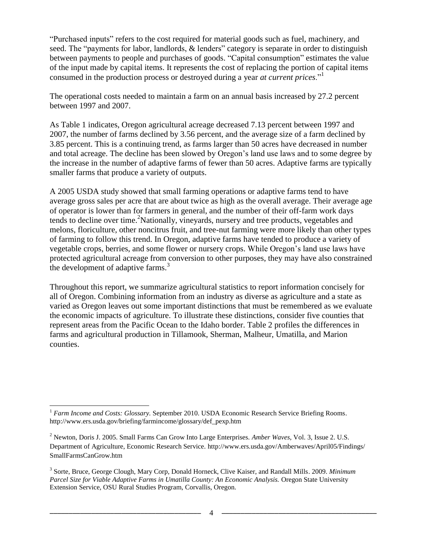―Purchased inputs‖ refers to the cost required for material goods such as fuel, machinery, and seed. The "payments for labor, landlords,  $\&$  lenders" category is separate in order to distinguish between payments to people and purchases of goods. "Capital consumption" estimates the value of the input made by capital items. It represents the cost of replacing the portion of capital items consumed in the production process or destroyed during a year *at current prices*."<sup>1</sup>

The operational costs needed to maintain a farm on an annual basis increased by 27.2 percent between 1997 and 2007.

As Table 1 indicates, Oregon agricultural acreage decreased 7.13 percent between 1997 and 2007, the number of farms declined by 3.56 percent, and the average size of a farm declined by 3.85 percent. This is a continuing trend, as farms larger than 50 acres have decreased in number and total acreage. The decline has been slowed by Oregon's land use laws and to some degree by the increase in the number of adaptive farms of fewer than 50 acres. Adaptive farms are typically smaller farms that produce a variety of outputs.

A 2005 USDA study showed that small farming operations or adaptive farms tend to have average gross sales per acre that are about twice as high as the overall average. Their average age of operator is lower than for farmers in general, and the number of their off-farm work days tends to decline over time.<sup>2</sup>Nationally, vineyards, nursery and tree products, vegetables and melons, floriculture, other noncitrus fruit, and tree-nut farming were more likely than other types of farming to follow this trend. In Oregon, adaptive farms have tended to produce a variety of vegetable crops, berries, and some flower or nursery crops. While Oregon's land use laws have protected agricultural acreage from conversion to other purposes, they may have also constrained the development of adaptive farms. $3$ 

Throughout this report, we summarize agricultural statistics to report information concisely for all of Oregon. Combining information from an industry as diverse as agriculture and a state as varied as Oregon leaves out some important distinctions that must be remembered as we evaluate the economic impacts of agriculture. To illustrate these distinctions, consider five counties that represent areas from the Pacific Ocean to the Idaho border. Table 2 profiles the differences in farms and agricultural production in Tillamook, Sherman, Malheur, Umatilla, and Marion counties.

 $\overline{a}$ <sup>1</sup> *Farm Income and Costs: Glossary.* September 2010. USDA Economic Research Service Briefing Rooms. [http://www.ers.usda.gov/briefing/farmincome/glossary/def\\_pexp.htm](http://www.ers.usda.gov/briefing/farmincome/glossary/def_pexp.htm)

<sup>2</sup> Newton, Doris J. 2005. Small Farms Can Grow Into Large Enterprises. *Amber Waves*, Vol. 3, Issue 2. U.S. Department of Agriculture, Economic Research Service. [http://www.ers.usda.gov/Amberwaves/April05/Findings/](http://www.ers.usda.gov/Amberwaves/April05/Findings/%20SmallFarmsCanGrow.htm)  [SmallFarmsCanGrow.htm](http://www.ers.usda.gov/Amberwaves/April05/Findings/%20SmallFarmsCanGrow.htm)

<sup>3</sup> Sorte, Bruce, George Clough, Mary Corp, Donald Horneck, Clive Kaiser, and Randall Mills. 2009. *Minimum Parcel Size for Viable Adaptive Farms in Umatilla County: An Economic Analysis.* Oregon State University Extension Service, OSU Rural Studies Program, Corvallis, Oregon.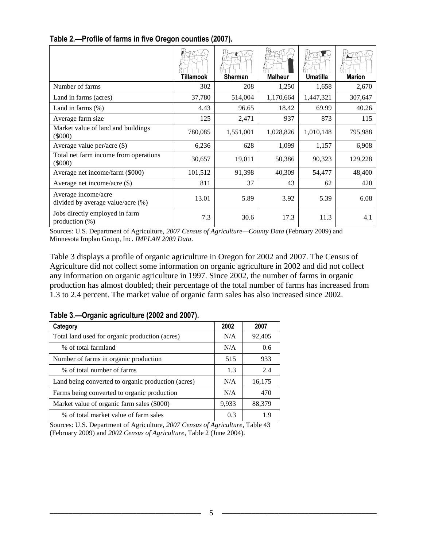|                                                          | Tillamook | Sherman   | <b>Malheur</b> | <b>Umatilla</b> | <b>Marion</b> |
|----------------------------------------------------------|-----------|-----------|----------------|-----------------|---------------|
| Number of farms                                          | 302       | 208       | 1,250          | 1,658           | 2,670         |
| Land in farms (acres)                                    | 37,780    | 514,004   | 1,170,664      | 1,447,321       | 307,647       |
| Land in farms $(\%)$                                     | 4.43      | 96.65     | 18.42          | 69.99           | 40.26         |
| Average farm size                                        | 125       | 2,471     | 937            | 873             | 115           |
| Market value of land and buildings<br>(5000)             | 780,085   | 1,551,001 | 1,028,826      | 1,010,148       | 795,988       |
| Average value per/acre (\$)                              | 6,236     | 628       | 1,099          | 1,157           | 6,908         |
| Total net farm income from operations<br>(5000)          | 30,657    | 19,011    | 50,386         | 90,323          | 129,228       |
| Average net income/farm (\$000)                          | 101,512   | 91,398    | 40,309         | 54,477          | 48,400        |
| Average net income/acre $(\$)$                           | 811       | 37        | 43             | 62              | 420           |
| Average income/acre<br>divided by average value/acre (%) | 13.01     | 5.89      | 3.92           | 5.39            | 6.08          |
| Jobs directly employed in farm<br>production $(\%)$      | 7.3       | 30.6      | 17.3           | 11.3            | 4.1           |

#### **Table 2.—Profile of farms in five Oregon counties (2007).**

Sources: U.S. Department of Agriculture, *2007 Census of Agriculture—County Data* (February 2009) and Minnesota Implan Group, Inc. *IMPLAN 2009 Data*.

Table 3 displays a profile of organic agriculture in Oregon for 2002 and 2007. The Census of Agriculture did not collect some information on organic agriculture in 2002 and did not collect any information on organic agriculture in 1997. Since 2002, the number of farms in organic production has almost doubled; their percentage of the total number of farms has increased from 1.3 to 2.4 percent. The market value of organic farm sales has also increased since 2002.

| Category                                           | 2002  | 2007   |
|----------------------------------------------------|-------|--------|
| Total land used for organic production (acres)     | N/A   | 92,405 |
| % of total farmland                                | N/A   | 0.6    |
| Number of farms in organic production              | 515   | 933    |
| % of total number of farms                         | 1.3   | 2.4    |
| Land being converted to organic production (acres) | N/A   | 16,175 |
| Farms being converted to organic production        | N/A   | 470    |
| Market value of organic farm sales (\$000)         | 9,933 | 88,379 |
| % of total market value of farm sales              | 0.3   | 19     |

**Table 3.—Organic agriculture (2002 and 2007).**

Sources: U.S. Department of Agriculture, *2007 Census of Agriculture*, Table 43 (February 2009) and *2002 Census of Agriculture*, Table 2 (June 2004).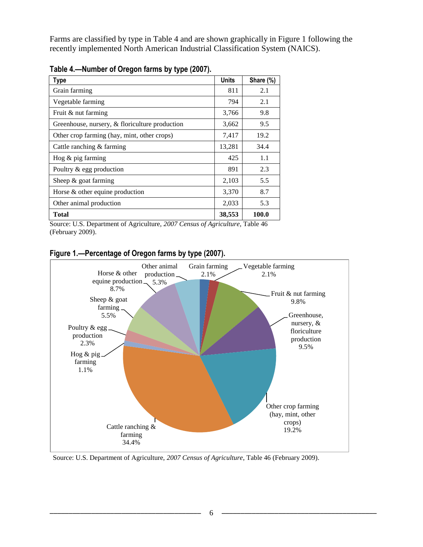Farms are classified by type in Table 4 and are shown graphically in Figure 1 following the recently implemented North American Industrial Classification System (NAICS).

| Type                                           | <b>Units</b> | Share (%) |
|------------------------------------------------|--------------|-----------|
| Grain farming                                  | 811          | 2.1       |
| Vegetable farming                              | 794          | 2.1       |
| Fruit & nut farming                            | 3,766        | 9.8       |
| Greenhouse, nursery, & floriculture production | 3,662        | 9.5       |
| Other crop farming (hay, mint, other crops)    | 7,417        | 19.2      |
| Cattle ranching & farming                      | 13,281       | 34.4      |
| Hog $&$ pig farming                            | 425          | 1.1       |
| Poultry & egg production                       | 891          | 2.3       |
| Sheep $&$ goat farming                         | 2,103        | 5.5       |
| Horse & other equine production                | 3,370        | 8.7       |
| Other animal production                        | 2,033        | 5.3       |
| Total                                          | 38,553       | 100.0     |

**Table 4.—Number of Oregon farms by type (2007).**

Source: U.S. Department of Agriculture, *2007 Census of Agriculture*, Table 46 (February 2009).



**Figure 1.***—***Percentage of Oregon farms by type (2007).**

Source: U.S. Department of Agriculture, *2007 Census of Agriculture*, Table 46 (February 2009).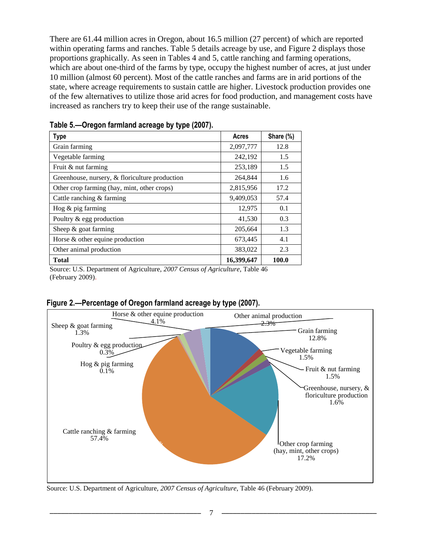There are 61.44 million acres in Oregon, about 16.5 million (27 percent) of which are reported within operating farms and ranches. Table 5 details acreage by use, and Figure 2 displays those proportions graphically. As seen in Tables 4 and 5, cattle ranching and farming operations, which are about one-third of the farms by type, occupy the highest number of acres, at just under 10 million (almost 60 percent). Most of the cattle ranches and farms are in arid portions of the state, where acreage requirements to sustain cattle are higher. Livestock production provides one of the few alternatives to utilize those arid acres for food production, and management costs have increased as ranchers try to keep their use of the range sustainable.

| <b>Type</b>                                    | Acres      | Share (%) |
|------------------------------------------------|------------|-----------|
| Grain farming                                  | 2,097,777  | 12.8      |
| Vegetable farming                              | 242,192    | 1.5       |
| Fruit & nut farming                            | 253,189    | 1.5       |
| Greenhouse, nursery, & floriculture production | 264,844    | 1.6       |
| Other crop farming (hay, mint, other crops)    | 2,815,956  | 17.2      |
| Cattle ranching & farming                      | 9,409,053  | 57.4      |
| Hog $&$ pig farming                            | 12,975     | 0.1       |
| Poultry & egg production                       | 41,530     | 0.3       |
| Sheep $&$ goat farming                         | 205,664    | 1.3       |
| Horse & other equine production                | 673,445    | 4.1       |
| Other animal production                        | 383,022    | 2.3       |
| <b>Total</b>                                   | 16,399,647 | 100.0     |

**Table 5.—Oregon farmland acreage by type (2007).**

Source: U.S. Department of Agriculture, *2007 Census of Agriculture*, Table 46 (February 2009).



**Figure 2.—Percentage of Oregon farmland acreage by type (2007).**

Source: U.S. Department of Agriculture, *2007 Census of Agriculture*, Table 46 (February 2009).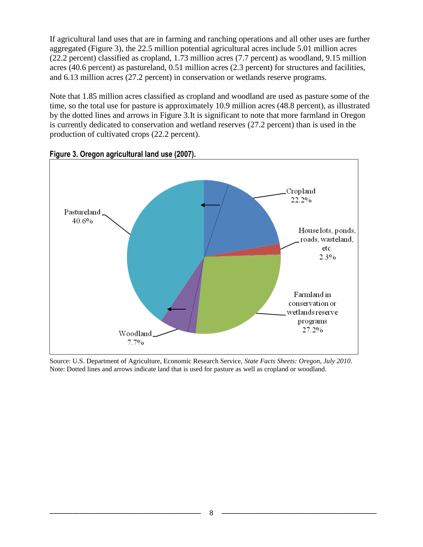If agricultural land uses that are in farming and ranching operations and all other uses are further aggregated (Figure 3), the 22.5 million potential agricultural acres include 5.01 million acres (22.2 percent) classified as cropland, 1.73 million acres (7.7 percent) as woodland, 9.15 million acres (40.6 percent) as pastureland, 0.51 million acres (2.3 percent) for structures and facilities, and 6.13 million acres (27.2 percent) in conservation or wetlands reserve programs.

Note that 1.85 million acres classified as cropland and woodland are used as pasture some of the time, so the total use for pasture is approximately 10.9 million acres (48.8 percent), as illustrated by the dotted lines and arrows in Figure 3.It is significant to note that more farmland in Oregon is currently dedicated to conservation and wetland reserves (27.2 percent) than is used in the production of cultivated crops (22.2 percent).



**Figure 3. Oregon agricultural land use (2007).**

Source: U.S. Department of Agriculture, Economic Research Service, *State Facts Sheets: Oregon, July 2010*. Note: Dotted lines and arrows indicate land that is used for pasture as well as cropland or woodland.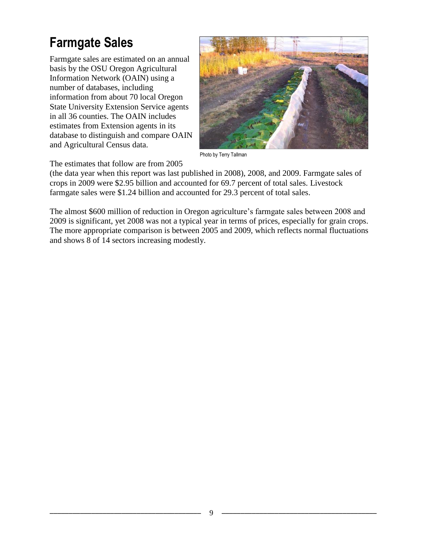### **Farmgate Sales**

Farmgate sales are estimated on an annual basis by the OSU Oregon Agricultural Information Network (OAIN) using a number of databases, including information from about 70 local Oregon State University Extension Service agents in all 36 counties. The OAIN includes estimates from Extension agents in its database to distinguish and compare OAIN and Agricultural Census data.



Photo by Terry Tallman

The estimates that follow are from 2005

(the data year when this report was last published in 2008), 2008, and 2009. Farmgate sales of crops in 2009 were \$2.95 billion and accounted for 69.7 percent of total sales. Livestock farmgate sales were \$1.24 billion and accounted for 29.3 percent of total sales.

The almost \$600 million of reduction in Oregon agriculture's farmgate sales between 2008 and 2009 is significant, yet 2008 was not a typical year in terms of prices, especially for grain crops. The more appropriate comparison is between 2005 and 2009, which reflects normal fluctuations and shows 8 of 14 sectors increasing modestly.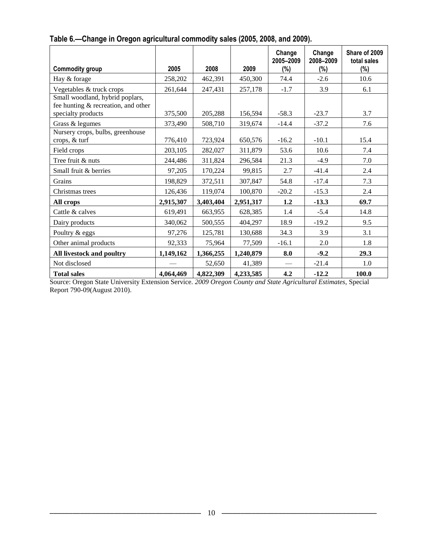|                                                                        |           |           |           | Change<br>2005-2009 | Change<br>2008-2009 | Share of 2009<br>total sales |
|------------------------------------------------------------------------|-----------|-----------|-----------|---------------------|---------------------|------------------------------|
| <b>Commodity group</b>                                                 | 2005      | 2008      | 2009      | $(\%)$              | (%)                 | $(\%)$                       |
| Hay & forage                                                           | 258,202   | 462,391   | 450,300   | 74.4                | $-2.6$              | 10.6                         |
| Vegetables & truck crops                                               | 261,644   | 247,431   | 257,178   | $-1.7$              | 3.9                 | 6.1                          |
| Small woodland, hybrid poplars,<br>fee hunting & recreation, and other |           |           |           |                     |                     |                              |
| specialty products                                                     | 375,500   | 205,288   | 156,594   | $-58.3$             | $-23.7$             | 3.7                          |
| Grass & legumes                                                        | 373,490   | 508,710   | 319,674   | $-14.4$             | $-37.2$             | 7.6                          |
| Nursery crops, bulbs, greenhouse<br>crops, & turf                      | 776,410   | 723,924   | 650,576   | $-16.2$             | $-10.1$             | 15.4                         |
| Field crops                                                            | 203,105   | 282,027   | 311,879   | 53.6                | 10.6                | 7.4                          |
| Tree fruit & nuts                                                      | 244,486   | 311,824   | 296,584   | 21.3                | $-4.9$              | 7.0                          |
| Small fruit & berries                                                  | 97,205    | 170,224   | 99,815    | 2.7                 | $-41.4$             | 2.4                          |
| Grains                                                                 | 198,829   | 372,511   | 307,847   | 54.8                | $-17.4$             | 7.3                          |
| Christmas trees                                                        | 126,436   | 119,074   | 100,870   | $-20.2$             | $-15.3$             | 2.4                          |
| All crops                                                              | 2,915,307 | 3,403,404 | 2,951,317 | 1.2                 | $-13.3$             | 69.7                         |
| Cattle & calves                                                        | 619,491   | 663,955   | 628,385   | 1.4                 | $-5.4$              | 14.8                         |
| Dairy products                                                         | 340,062   | 500,555   | 404,297   | 18.9                | $-19.2$             | 9.5                          |
| Poultry & eggs                                                         | 97,276    | 125,781   | 130,688   | 34.3                | 3.9                 | 3.1                          |
| Other animal products                                                  | 92,333    | 75,964    | 77,509    | $-16.1$             | 2.0                 | 1.8                          |
| All livestock and poultry                                              | 1,149,162 | 1,366,255 | 1,240,879 | 8.0                 | $-9.2$              | 29.3                         |
| Not disclosed                                                          |           | 52,650    | 41,389    |                     | $-21.4$             | 1.0                          |
| <b>Total sales</b>                                                     | 4,064,469 | 4,822,309 | 4,233,585 | 4.2                 | $-12.2$             | 100.0                        |

#### **Table 6.—Change in Oregon agricultural commodity sales (2005, 2008, and 2009).**

Source: Oregon State University Extension Service*. 2009 Oregon County and State Agricultural Estimates,* Special Report 790-09(August 2010).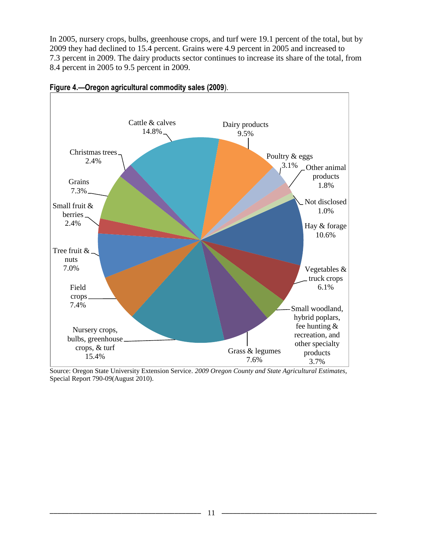In 2005, nursery crops, bulbs, greenhouse crops, and turf were 19.1 percent of the total, but by 2009 they had declined to 15.4 percent. Grains were 4.9 percent in 2005 and increased to 7.3 percent in 2009. The dairy products sector continues to increase its share of the total, from 8.4 percent in 2005 to 9.5 percent in 2009.



**Figure 4.—Oregon agricultural commodity sales (2009**).

Source: Oregon State University Extension Service*. 2009 Oregon County and State Agricultural Estimates,*  Special Report 790-09(August 2010).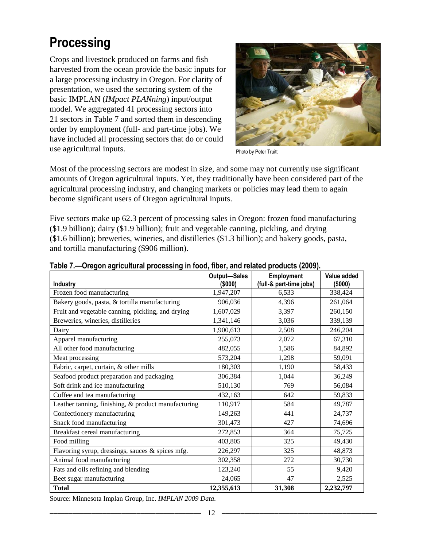### **Processing**

Crops and livestock produced on farms and fish harvested from the ocean provide the basic inputs for a large processing industry in Oregon. For clarity of presentation, we used the sectoring system of the basic IMPLAN (*IMpact PLANning*) input/output model. We aggregated 41 processing sectors into 21 sectors in Table 7 and sorted them in descending order by employment (full- and part-time jobs). We have included all processing sectors that do or could use agricultural inputs.



Photo by Peter Truitt

Most of the processing sectors are modest in size, and some may not currently use significant amounts of Oregon agricultural inputs. Yet, they traditionally have been considered part of the agricultural processing industry, and changing markets or policies may lead them to again become significant users of Oregon agricultural inputs.

Five sectors make up 62.3 percent of processing sales in Oregon: frozen food manufacturing (\$1.9 billion); dairy (\$1.9 billion); fruit and vegetable canning, pickling, and drying (\$1.6 billion); breweries, wineries, and distilleries (\$1.3 billion); and bakery goods, pasta, and tortilla manufacturing (\$906 million).

|                                                     | <b>Output-Sales</b> | Employment              | Value added |
|-----------------------------------------------------|---------------------|-------------------------|-------------|
| Industry                                            | (\$000)             | (full-& part-time jobs) | (\$000)     |
| Frozen food manufacturing                           | 1,947,207           | 6,533                   | 338,424     |
| Bakery goods, pasta, & tortilla manufacturing       | 906,036             | 4,396                   | 261,064     |
| Fruit and vegetable canning, pickling, and drying   | 1,607,029           | 3,397                   | 260,150     |
| Breweries, wineries, distilleries                   | 1,341,146           | 3,036                   | 339,139     |
| Dairy                                               | 1,900,613           | 2,508                   | 246,204     |
| Apparel manufacturing                               | 255,073             | 2,072                   | 67,310      |
| All other food manufacturing                        | 482,055             | 1,586                   | 84,892      |
| Meat processing                                     | 573,204             | 1,298                   | 59,091      |
| Fabric, carpet, curtain, & other mills              | 180,303             | 1,190                   | 58,433      |
| Seafood product preparation and packaging           | 306,384             | 1,044                   | 36,249      |
| Soft drink and ice manufacturing                    | 510,130             | 769                     | 56,084      |
| Coffee and tea manufacturing                        | 432,163             | 642                     | 59,833      |
| Leather tanning, finishing, & product manufacturing | 110,917             | 584                     | 49,787      |
| Confectionery manufacturing                         | 149,263             | 441                     | 24,737      |
| Snack food manufacturing                            | 301,473             | 427                     | 74,696      |
| Breakfast cereal manufacturing                      | 272,853             | 364                     | 75,725      |
| Food milling                                        | 403,805             | 325                     | 49,430      |
| Flavoring syrup, dressings, sauces & spices mfg.    | 226,297             | 325                     | 48,873      |
| Animal food manufacturing                           | 302,358             | 272                     | 30,730      |
| Fats and oils refining and blending                 | 123,240             | 55                      | 9,420       |
| Beet sugar manufacturing                            | 24,065              | 47                      | 2,525       |
| <b>Total</b>                                        | 12,355,613          | 31,308                  | 2,232,797   |

**Table 7.—Oregon agricultural processing in food, fiber, and related products (2009).**

Source: Minnesota Implan Group, Inc. *IMPLAN 2009 Data.*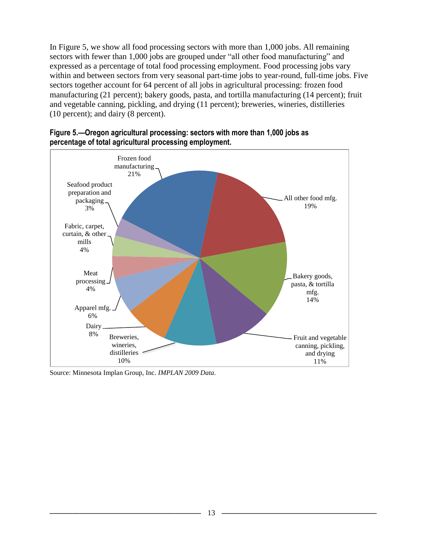In Figure 5, we show all food processing sectors with more than 1,000 jobs. All remaining sectors with fewer than 1,000 jobs are grouped under "all other food manufacturing" and expressed as a percentage of total food processing employment. Food processing jobs vary within and between sectors from very seasonal part-time jobs to year-round, full-time jobs. Five sectors together account for 64 percent of all jobs in agricultural processing: frozen food manufacturing (21 percent); bakery goods, pasta, and tortilla manufacturing (14 percent); fruit and vegetable canning, pickling, and drying (11 percent); breweries, wineries, distilleries (10 percent); and dairy (8 percent).



**Figure 5.—Oregon agricultural processing: sectors with more than 1,000 jobs as percentage of total agricultural processing employment.**

Source: Minnesota Implan Group, Inc. *IMPLAN 2009 Data.*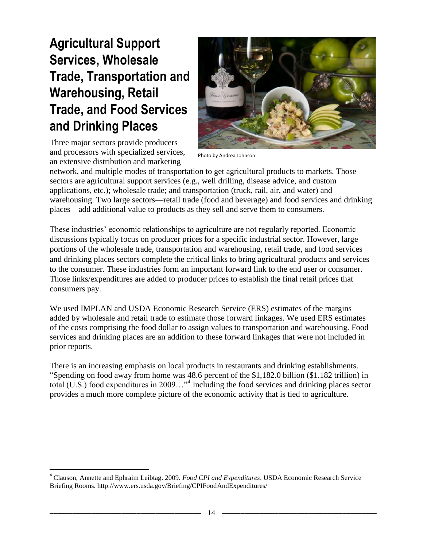### **Agricultural Support Services, Wholesale Trade, Transportation and Warehousing, Retail Trade, and Food Services and Drinking Places**

Three major sectors provide producers and processors with specialized services, an extensive distribution and marketing

 $\overline{a}$ 



Photo by Andrea Johnson

network, and multiple modes of transportation to get agricultural products to markets. Those sectors are agricultural support services (e.g., well drilling, disease advice, and custom applications, etc.); wholesale trade; and transportation (truck, rail, air, and water) and warehousing. Two large sectors—retail trade (food and beverage) and food services and drinking places—add additional value to products as they sell and serve them to consumers.

These industries' economic relationships to agriculture are not regularly reported. Economic discussions typically focus on producer prices for a specific industrial sector. However, large portions of the wholesale trade, transportation and warehousing, retail trade, and food services and drinking places sectors complete the critical links to bring agricultural products and services to the consumer. These industries form an important forward link to the end user or consumer. Those links/expenditures are added to producer prices to establish the final retail prices that consumers pay.

We used IMPLAN and USDA Economic Research Service (ERS) estimates of the margins added by wholesale and retail trade to estimate those forward linkages. We used ERS estimates of the costs comprising the food dollar to assign values to transportation and warehousing. Food services and drinking places are an addition to these forward linkages that were not included in prior reports.

There is an increasing emphasis on local products in restaurants and drinking establishments. ―Spending on food away from home was 48.6 percent of the \$1,182.0 billion (\$1.182 trillion) in total (U.S.) food expenditures in 2009..."<sup>4</sup> Including the food services and drinking places sector provides a much more complete picture of the economic activity that is tied to agriculture.

<sup>4</sup> Clauson, Annette and Ephraim Leibtag. 2009. *Food CPI and Expenditures*. USDA Economic Research Service Briefing Rooms. http://www.ers.usda.gov/Briefing/CPIFoodAndExpenditures/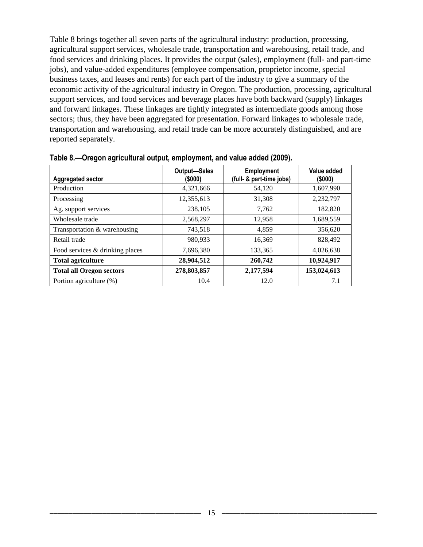Table 8 brings together all seven parts of the agricultural industry: production, processing, agricultural support services, wholesale trade, transportation and warehousing, retail trade, and food services and drinking places. It provides the output (sales), employment (full- and part-time jobs), and value-added expenditures (employee compensation, proprietor income, special business taxes, and leases and rents) for each part of the industry to give a summary of the economic activity of the agricultural industry in Oregon. The production, processing, agricultural support services, and food services and beverage places have both backward (supply) linkages and forward linkages. These linkages are tightly integrated as intermediate goods among those sectors; thus, they have been aggregated for presentation. Forward linkages to wholesale trade, transportation and warehousing, and retail trade can be more accurately distinguished, and are reported separately.

| Aggregated sector               | <b>Output-Sales</b><br>(\$000) | <b>Employment</b><br>(full- & part-time jobs) | Value added<br>(\$000) |
|---------------------------------|--------------------------------|-----------------------------------------------|------------------------|
| Production                      | 4,321,666                      | 54,120                                        | 1,607,990              |
| Processing                      | 12,355,613                     | 31,308                                        | 2,232,797              |
| Ag. support services            | 238,105                        | 7,762                                         | 182,820                |
| Wholesale trade                 | 2,568,297                      | 12,958                                        | 1,689,559              |
| Transportation & warehousing    | 743,518                        | 4,859                                         | 356,620                |
| Retail trade                    | 980,933                        | 16,369                                        | 828,492                |
| Food services & drinking places | 7,696,380                      | 133,365                                       | 4,026,638              |
| <b>Total agriculture</b>        | 28,904,512                     | 260,742                                       | 10,924,917             |
| <b>Total all Oregon sectors</b> | 278,803,857                    | 2,177,594                                     | 153,024,613            |
| Portion agriculture (%)         | 10.4                           | 12.0                                          | 7.1                    |

**Table 8.—Oregon agricultural output, employment, and value added (2009).**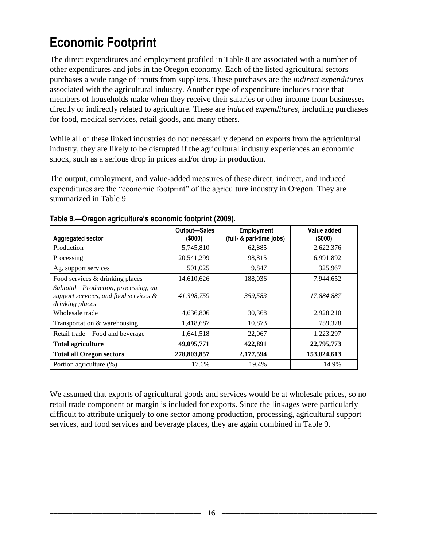### **Economic Footprint**

The direct expenditures and employment profiled in Table 8 are associated with a number of other expenditures and jobs in the Oregon economy. Each of the listed agricultural sectors purchases a wide range of inputs from suppliers. These purchases are the *indirect expenditures*  associated with the agricultural industry. Another type of expenditure includes those that members of households make when they receive their salaries or other income from businesses directly or indirectly related to agriculture. These are *induced expenditures,* including purchases for food, medical services, retail goods, and many others.

While all of these linked industries do not necessarily depend on exports from the agricultural industry, they are likely to be disrupted if the agricultural industry experiences an economic shock, such as a serious drop in prices and/or drop in production.

The output, employment, and value-added measures of these direct, indirect, and induced expenditures are the "economic footprint" of the agriculture industry in Oregon. They are summarized in Table 9.

| <b>Aggregated sector</b>                                                                         | <b>Output-Sales</b><br>(\$000) | <b>Employment</b><br>(full- & part-time jobs) | Value added<br>$($ \$000 $)$ |
|--------------------------------------------------------------------------------------------------|--------------------------------|-----------------------------------------------|------------------------------|
| Production                                                                                       | 5,745,810                      | 62,885                                        | 2,622,376                    |
| Processing                                                                                       | 20,541,299                     | 98,815                                        | 6,991,892                    |
| Ag. support services                                                                             | 501,025                        | 9,847                                         | 325,967                      |
| Food services & drinking places                                                                  | 14,610,626                     | 188,036                                       | 7,944,652                    |
| Subtotal-Production, processing, ag.<br>support services, and food services &<br>drinking places | 41,398,759                     | 359.583                                       | 17,884,887                   |
| Wholesale trade                                                                                  | 4,636,806                      | 30,368                                        | 2,928,210                    |
| Transportation & warehousing                                                                     | 1,418,687                      | 10,873                                        | 759,378                      |
| Retail trade—Food and beverage                                                                   | 1,641,518                      | 22,067                                        | 1,223,297                    |
| <b>Total agriculture</b>                                                                         | 49,095,771                     | 422,891                                       | 22,795,773                   |
| <b>Total all Oregon sectors</b>                                                                  | 278,803,857                    | 2,177,594                                     | 153,024,613                  |
| Portion agriculture (%)                                                                          | 17.6%                          | 19.4%                                         | 14.9%                        |

| Table 9.-Oregon agriculture's economic footprint (2009). |  |  |
|----------------------------------------------------------|--|--|
|                                                          |  |  |

We assumed that exports of agricultural goods and services would be at wholesale prices, so no retail trade component or margin is included for exports. Since the linkages were particularly difficult to attribute uniquely to one sector among production, processing, agricultural support services, and food services and beverage places, they are again combined in Table 9.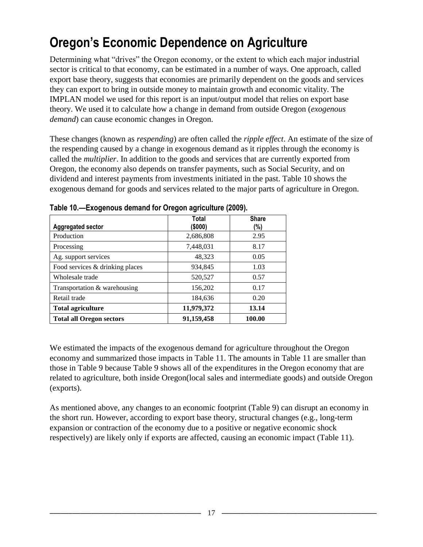### **Oregon's Economic Dependence on Agriculture**

Determining what "drives" the Oregon economy, or the extent to which each major industrial sector is critical to that economy, can be estimated in a number of ways. One approach, called export base theory, suggests that economies are primarily dependent on the goods and services they can export to bring in outside money to maintain growth and economic vitality. The IMPLAN model we used for this report is an input/output model that relies on export base theory. We used it to calculate how a change in demand from outside Oregon (*exogenous demand*) can cause economic changes in Oregon.

These changes (known as *respending*) are often called the *ripple effect*. An estimate of the size of the respending caused by a change in exogenous demand as it ripples through the economy is called the *multiplier*. In addition to the goods and services that are currently exported from Oregon, the economy also depends on transfer payments, such as Social Security, and on dividend and interest payments from investments initiated in the past. Table 10 shows the exogenous demand for goods and services related to the major parts of agriculture in Oregon.

|                                 | Total      | <b>Share</b> |
|---------------------------------|------------|--------------|
| <b>Aggregated sector</b>        | (\$000)    | (%)          |
| Production                      | 2,686,808  | 2.95         |
| Processing                      | 7,448,031  | 8.17         |
| Ag. support services            | 48,323     | 0.05         |
| Food services & drinking places | 934,845    | 1.03         |
| Wholesale trade                 | 520,527    | 0.57         |
| Transportation & warehousing    | 156,202    | 0.17         |
| Retail trade                    | 184,636    | 0.20         |
| <b>Total agriculture</b>        | 11,979,372 | 13.14        |
| <b>Total all Oregon sectors</b> | 91,159,458 | 100.00       |

**Table 10.—Exogenous demand for Oregon agriculture (2009).**

We estimated the impacts of the exogenous demand for agriculture throughout the Oregon economy and summarized those impacts in Table 11. The amounts in Table 11 are smaller than those in Table 9 because Table 9 shows all of the expenditures in the Oregon economy that are related to agriculture, both inside Oregon(local sales and intermediate goods) and outside Oregon (exports).

As mentioned above, any changes to an economic footprint (Table 9) can disrupt an economy in the short run. However, according to export base theory, structural changes (e.g., long-term expansion or contraction of the economy due to a positive or negative economic shock respectively) are likely only if exports are affected, causing an economic impact (Table 11).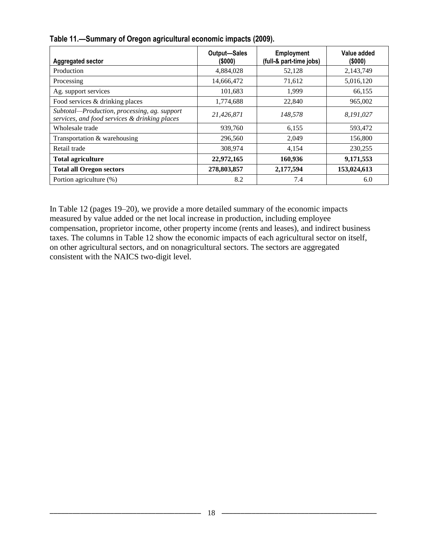| <b>Aggregated sector</b>                                                                      | <b>Output-Sales</b><br>(\$000) | <b>Employment</b><br>(full-& part-time jobs) | Value added<br>(\$000) |
|-----------------------------------------------------------------------------------------------|--------------------------------|----------------------------------------------|------------------------|
| Production                                                                                    | 4,884,028                      | 52,128                                       | 2,143,749              |
| Processing                                                                                    | 14,666,472                     | 71,612                                       | 5,016,120              |
| Ag. support services                                                                          | 101,683                        | 1,999                                        | 66,155                 |
| Food services & drinking places                                                               | 1,774,688                      | 22,840                                       | 965,002                |
| Subtotal-Production, processing, ag. support<br>services, and food services & drinking places | 21,426,871                     | 148,578                                      | 8,191,027              |
| Wholesale trade                                                                               | 939,760                        | 6,155                                        | 593,472                |
| Transportation & warehousing                                                                  | 296,560                        | 2,049                                        | 156,800                |
| Retail trade                                                                                  | 308,974                        | 4,154                                        | 230,255                |
| <b>Total agriculture</b>                                                                      | 22,972,165                     | 160,936                                      | 9,171,553              |
| <b>Total all Oregon sectors</b>                                                               | 278,803,857                    | 2,177,594                                    | 153,024,613            |
| Portion agriculture (%)                                                                       | 8.2                            | 7.4                                          | 6.0                    |

**Table 11.—Summary of Oregon agricultural economic impacts (2009).** 

In Table 12 (pages 19–20), we provide a more detailed summary of the economic impacts measured by value added or the net local increase in production, including employee compensation, proprietor income, other property income (rents and leases), and indirect business taxes. The columns in Table 12 show the economic impacts of each agricultural sector on itself, on other agricultural sectors, and on nonagricultural sectors. The sectors are aggregated consistent with the NAICS two-digit level.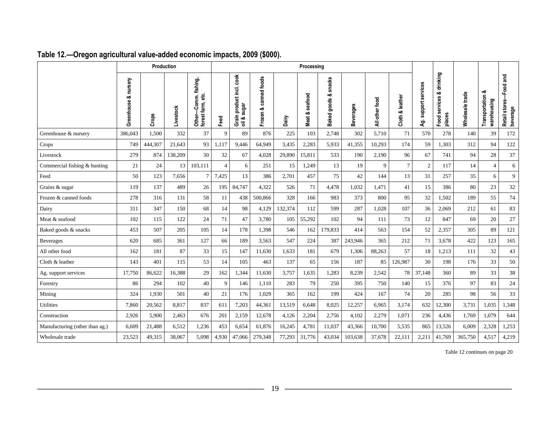|                                |                             | Production |           |                                                        |                |                                            |                                          |         |                |                               |                  |                |                 |                      |                                       |                 |                                     |                                         |
|--------------------------------|-----------------------------|------------|-----------|--------------------------------------------------------|----------------|--------------------------------------------|------------------------------------------|---------|----------------|-------------------------------|------------------|----------------|-----------------|----------------------|---------------------------------------|-----------------|-------------------------------------|-----------------------------------------|
|                                | nursery<br>ಂರ<br>Greenhouse | Crops      | Livestock | Comm. fishing,<br>ಕ್ಷ<br>forest farm,<br><b>Other-</b> | Feed           | Grain product incl. cook<br>sugar<br>oil & | foods<br>canned <sup>+</sup><br>Frozen & | Dairy   | Meat & seafood | snacks<br>ಹ<br>goods<br>Baked | <b>Beverages</b> | All other food | Cloth & leather | Ag. support services | drinking<br>Food services &<br>places | Wholesale trade | ంర<br>Transportation<br>warehousing | -Food and<br>Retail stores-<br>beverage |
| Greenhouse & nursery           | 386,043                     | 1,500      | 332       | 37                                                     | 9              | 89                                         | 876                                      | 225     | 103            | 2,748                         | 302              | 5,710          | 71              | 570                  | 278                                   | 140             | 39                                  | 172                                     |
| Crops                          | 749                         | 444,307    | 21.643    | 93                                                     | 1,117          | 9,446                                      | 64,949                                   | 3,435   | 2,283          | 5.933                         | 41,355           | 10,293         | 174             | 59                   | 1,303                                 | 312             | 94                                  | 122                                     |
| Livestock                      | 279                         | 874        | 138,209   | 30                                                     | 32             | 67                                         | 4,028                                    | 29,890  | 15,811         | 533                           | 190              | 2,190          | 96              | 67                   | 741                                   | 94              | 28                                  | 37                                      |
| Commercial fishing & hunting   | 21                          | 24         | 13        | 103,111                                                | $\overline{4}$ | 6                                          | 251                                      | 15      | 1,249          | 13                            | 19               | $\mathbf{Q}$   | $\overline{7}$  | $\sqrt{2}$           | 117                                   | 14              | $\overline{4}$                      | 6                                       |
| Feed                           | 50                          | 123        | 7,656     | $\overline{7}$                                         | 7,425          | 13                                         | 386                                      | 2,701   | 457            | 75                            | 42               | 144            | 13              | 31                   | 257                                   | 35              | 6                                   | 9                                       |
| Grains & sugar                 | 119                         | 137        | 489       | 26                                                     | 195            | 84,747                                     | 4,322                                    | 526     | 71             | 4,478                         | 1,032            | 1,471          | 41              | 15                   | 386                                   | 80              | 23                                  | 32                                      |
| Frozen & canned foods          | 278                         | 316        | 131       | 58                                                     | 11             | 438                                        | 500,866                                  | 328     | 166            | 983                           | 373              | 800            | 95              | 32                   | 1,502                                 | 189             | 55                                  | 74                                      |
| Dairy                          | 311                         | 347        | 150       | 68                                                     | 14             | 98                                         | 4,129                                    | 132,374 | 112            | 599                           | 287              | 1,028          | 107             | 36                   | 2,069                                 | 212             | 61                                  | 83                                      |
| Meat & seafood                 | 102                         | 115        | 122       | 24                                                     | 71             | 47                                         | 3,780                                    | 105     | 55,292         | 102                           | 94               | 111            | 73              | 12                   | 847                                   | 69              | 20                                  | 27                                      |
| Baked goods & snacks           | 453                         | 507        | 205       | 105                                                    | 14             | 178                                        | 1,398                                    | 546     | 162            | 179,833                       | 414              | 563            | 154             | 52                   | 2,357                                 | 305             | 89                                  | 121                                     |
| <b>Beverages</b>               | 620                         | 685        | 361       | 127                                                    | 66             | 189                                        | 3,563                                    | 547     | 224            | 387                           | 243,946          | 365            | 212             | 71                   | 3,678                                 | 422             | 123                                 | 165                                     |
| All other food                 | 162                         | 181        | 87        | 33                                                     | 15             | 147                                        | 11,630                                   | 1,633   | 181            | 679                           | 1,306            | 88,263         | 57              | 18                   | 1,213                                 | 111             | 32                                  | 43                                      |
| Cloth & leather                | 143                         | 401        | 115       | 53                                                     | 14             | 105                                        | 463                                      | 137     | 65             | 156                           | 187              | 85             | 126,987         | 30                   | 198                                   | 176             | 33                                  | 50                                      |
| Ag. support services           | 17,750                      | 86,622     | 16,388    | 29                                                     | 162            | 1,344                                      | 11,630                                   | 3,757   | 1,635          | 1,283                         | 8,239            | 2,542          | 78              | 37,148               | 360                                   | 89              | 33                                  | 38                                      |
| Forestry                       | 86                          | 294        | 102       | 40                                                     | 9              | 146                                        | 1,110                                    | 283     | 79             | 250                           | 395              | 750            | 140             | 15                   | 376                                   | 97              | 83                                  | 24                                      |
| Mining                         | 324                         | 1.930      | 501       | 40                                                     | 21             | 176                                        | 1.029                                    | 365     | 162            | 199                           | 424              | 167            | 74              | 20                   | 285                                   | 98              | 56                                  | 33                                      |
| Utilities                      | 7,860                       | 20,562     | 8,817     | 837                                                    | 611            | 7,203                                      | 44,361                                   | 13,519  | 6,648          | 8,025                         | 12,257           | 6,965          | 3,174           | 632                  | 12,300                                | 3,731           | 1,035                               | 1,348                                   |
| Construction                   | 2,926                       | 5,900      | 2,463     | 676                                                    | 201            | 2,159                                      | 12,678                                   | 4,126   | 2,204          | 2,756                         | 4,102            | 2,279          | 1,071           | 236                  | 4,436                                 | 1,769           | 1,079                               | 644                                     |
| Manufacturing (other than ag.) | 6,609                       | 21,488     | 6,512     | 1,236                                                  | 453            | 6,654                                      | 61,876                                   | 16,245  | 4,781          | 11,037                        | 43,366           | 10,700         | 5,535           | 865                  | 13,526                                | 6,009           | 2,328                               | 1,253                                   |
| Wholesale trade                | 23,523                      | 49,315     | 38,067    | 5,098                                                  | 4,930          | 47,066                                     | 279,348                                  | 77,293  | 31,776         | 43,034                        | 103,638          | 37,678         | 22,111          | 2,211                | 41,769                                | 365,750         | 4,517                               | 4,219                                   |

#### **Table 12.—Oregon agricultural value-added economic impacts, 2009 (\$000).**

Table 12 continues on page 20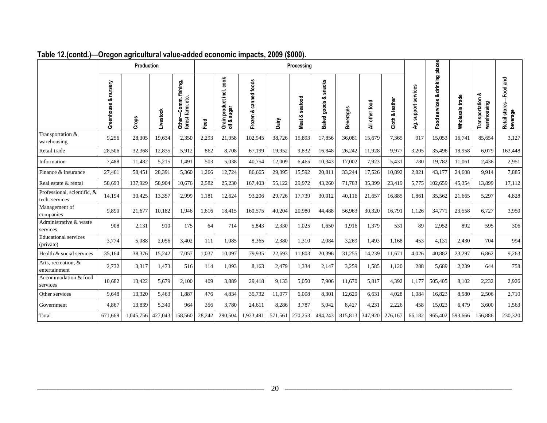|                                               |                             | <b>Production</b> |           |                                                       | Processing |                                                    |                              |         |                   |                                   |                |                 |                              |                         |                                       |                 |                                     |                                        |
|-----------------------------------------------|-----------------------------|-------------------|-----------|-------------------------------------------------------|------------|----------------------------------------------------|------------------------------|---------|-------------------|-----------------------------------|----------------|-----------------|------------------------------|-------------------------|---------------------------------------|-----------------|-------------------------------------|----------------------------------------|
|                                               | nursery<br>ంర<br>Greenhouse | Crops             | Livestock | Comm. fishing,<br>Other-Comm. fi<br>forest farm, etc. | Feed       | čook<br>product incl.<br>sugar<br>Grain<br>oil & s | canned foods<br>ంర<br>Frozen | Dairy   | seafood<br>Meat & | snacks<br>goods &<br><b>Baked</b> | everages<br>mā | other food<br>₹ | leather<br>ంర<br>Cloth<br>Cl | support services<br>Ąġ. | drinking places<br>ವ<br>Food services | Wholesale trade | ంర<br>Transportation<br>warehousing | Food and<br>Retail stores-<br>beverage |
| Transportation &<br>warehousing               | 9,256                       | 28,305            | 19,634    | 2,350                                                 | 2,293      | 21,958                                             | 102,945                      | 38,726  | 15,893            | 17,856                            | 36,081         | 15,679          | 7,365                        | 917                     | 15,053                                | 16,741          | 85.654                              | 3,127                                  |
| Retail trade                                  | 28,506                      | 32,368            | 12,835    | 5,912                                                 | 862        | 8.708                                              | 67,199                       | 19,952  | 9,832             | 16,848                            | 26,242         | 11,928          | 9.977                        | 3,205                   | 35,496                                | 18,958          | 6.079                               | 163,448                                |
| Information                                   | 7,488                       | 11,482            | 5,215     | 1,491                                                 | 503        | 5,038                                              | 40,754                       | 12,009  | 6,465             | 10,343                            | 17,002         | 7,923           | 5,431                        | 780                     | 19,782                                | 11,061          | 2,436                               | 2,951                                  |
| Finance & insurance                           | 27,461                      | 58,451            | 28,391    | 5,360                                                 | 1,266      | 12,724                                             | 86,665                       | 29,395  | 15,592            | 20,811                            | 33,244         | 17,526          | 10,892                       | 2,821                   | 43,177                                | 24,608          | 9.914                               | 7,885                                  |
| Real estate & rental                          | 58,693                      | 137,929           | 58,904    | 10,676                                                | 2,582      | 25,230                                             | 167,403                      | 55,122  | 29,972            | 43,260                            | 71,783         | 35,399          | 23,419                       | 5,775                   | 102,659                               | 45,354          | 13,899                              | 17,112                                 |
| Professional, scientific, &<br>tech. services | 14,194                      | 30,425            | 13,357    | 2,999                                                 | 1,181      | 12,624                                             | 93,206                       | 29,726  | 17,739            | 30,012                            | 40,116         | 21,657          | 16,885                       | 1,861                   | 35,562                                | 21,665          | 5,297                               | 4,828                                  |
| Management of<br>companies                    | 9.890                       | 21,677            | 10,182    | 1.946                                                 | 1,616      | 18,415                                             | 160,575                      | 40,204  | 20,980            | 44,488                            | 56,963         | 30,320          | 16,791                       | 1,126                   | 34,771                                | 23,558          | 6,727                               | 3,950                                  |
| Administrative & waste<br>services            | 908                         | 2,131             | 910       | 175                                                   | 64         | 714                                                | 5,843                        | 2,330   | 1,025             | 1,650                             | 1,916          | 1,379           | 531                          | 89                      | 2,952                                 | 892             | 595                                 | 306                                    |
| <b>Educational</b> services<br>(private)      | 3.774                       | 5,088             | 2,056     | 3,402                                                 | 111        | 1,085                                              | 8,365                        | 2,380   | 1,310             | 2,084                             | 3,269          | 1,493           | 1,168                        | 453                     | 4,131                                 | 2,430           | 704                                 | 994                                    |
| Health & social services                      | 35,164                      | 38,376            | 15,242    | 7,057                                                 | 1,037      | 10.097                                             | 79,935                       | 22,693  | 11,803            | 20,396                            | 31,255         | 14,239          | 11,671                       | 4,026                   | 40,882                                | 23,297          | 6,862                               | 9,263                                  |
| Arts, recreation, &<br>entertainment          | 2,732                       | 3,317             | 1,473     | 516                                                   | 114        | 1,093                                              | 8,163                        | 2,479   | 1,334             | 2,147                             | 3,259          | 1,585           | 1,120                        | 288                     | 5,689                                 | 2,239           | 644                                 | 758                                    |
| Accommodation & food<br>services              | 10.682                      | 13.422            | 5.679     | 2.100                                                 | 409        | 3.889                                              | 29.418                       | 9.133   | 5.050             | 7.906                             | 11.670         | 5,817           | 4,392                        | 1,177                   | 505,405                               | 8,102           | 2,232                               | 2,926                                  |
| Other services                                | 9,648                       | 13,320            | 5,463     | 1,887                                                 | 476        | 4,834                                              | 35,732                       | 11,077  | 6,008             | 8,301                             | 12,620         | 6,631           | 4,028                        | 1,084                   | 16,823                                | 8,580           | 2,506                               | 2,710                                  |
| Government                                    | 4,867                       | 13,839            | 5,340     | 964                                                   | 356        | 3,780                                              | 24,611                       | 8,286   | 3,787             | 5,042                             | 8,427          | 4,231           | 2,226                        | 458                     | 15,023                                | 6,479           | 3,600                               | 1,563                                  |
| Total                                         | 671.669                     | 1.045.756         | 427,043   | 158,560                                               | 28.242     | 290,504                                            | 1,923,491                    | 571,561 | 270.253           | 494,243                           | 815,813        | 347.920         | 276,167                      | 66,182                  | 965.402                               | 593,666         | 156,886                             | 230,320                                |

#### **Table 12.(contd.)—Oregon agricultural value-added economic impacts, 2009 (\$000).**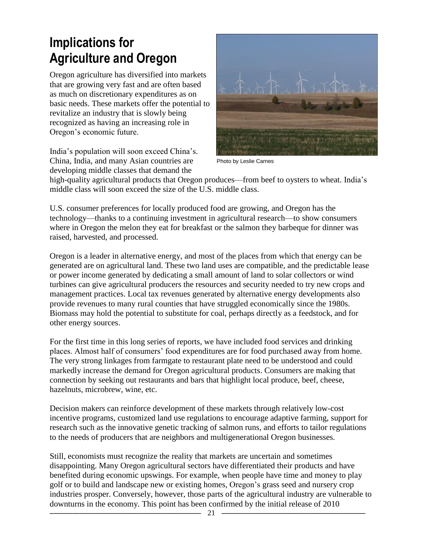#### **Implications for Agriculture and Oregon**

Oregon agriculture has diversified into markets that are growing very fast and are often based as much on discretionary expenditures as on basic needs. These markets offer the potential to revitalize an industry that is slowly being recognized as having an increasing role in Oregon's economic future.

India's population will soon exceed China's. China, India, and many Asian countries are developing middle classes that demand the



Photo by Leslie Carnes

high-quality agricultural products that Oregon produces—from beef to oysters to wheat. India's middle class will soon exceed the size of the U.S. middle class.

U.S. consumer preferences for locally produced food are growing, and Oregon has the technology—thanks to a continuing investment in agricultural research—to show consumers where in Oregon the melon they eat for breakfast or the salmon they barbeque for dinner was raised, harvested, and processed.

Oregon is a leader in alternative energy, and most of the places from which that energy can be generated are on agricultural land. These two land uses are compatible, and the predictable lease or power income generated by dedicating a small amount of land to solar collectors or wind turbines can give agricultural producers the resources and security needed to try new crops and management practices. Local tax revenues generated by alternative energy developments also provide revenues to many rural counties that have struggled economically since the 1980s. Biomass may hold the potential to substitute for coal, perhaps directly as a feedstock, and for other energy sources.

For the first time in this long series of reports, we have included food services and drinking places. Almost half of consumers' food expenditures are for food purchased away from home. The very strong linkages from farmgate to restaurant plate need to be understood and could markedly increase the demand for Oregon agricultural products. Consumers are making that connection by seeking out restaurants and bars that highlight local produce, beef, cheese, hazelnuts, microbrew, wine, etc.

Decision makers can reinforce development of these markets through relatively low-cost incentive programs, customized land use regulations to encourage adaptive farming, support for research such as the innovative genetic tracking of salmon runs, and efforts to tailor regulations to the needs of producers that are neighbors and multigenerational Oregon businesses.

Still, economists must recognize the reality that markets are uncertain and sometimes disappointing. Many Oregon agricultural sectors have differentiated their products and have benefited during economic upswings. For example, when people have time and money to play golf or to build and landscape new or existing homes, Oregon's grass seed and nursery crop industries prosper. Conversely, however, those parts of the agricultural industry are vulnerable to downturns in the economy. This point has been confirmed by the initial release of 2010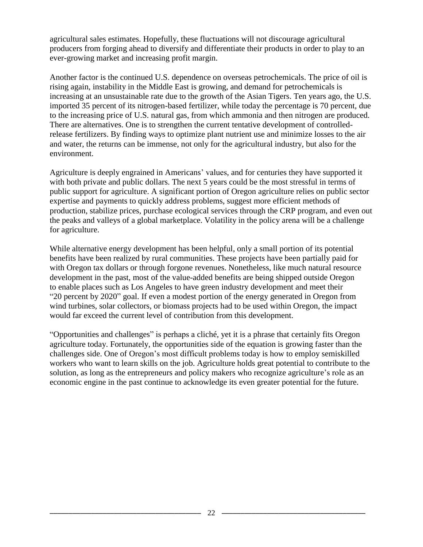agricultural sales estimates. Hopefully, these fluctuations will not discourage agricultural producers from forging ahead to diversify and differentiate their products in order to play to an ever-growing market and increasing profit margin.

Another factor is the continued U.S. dependence on overseas petrochemicals. The price of oil is rising again, instability in the Middle East is growing, and demand for petrochemicals is increasing at an unsustainable rate due to the growth of the Asian Tigers. Ten years ago, the U.S. imported 35 percent of its nitrogen-based fertilizer, while today the percentage is 70 percent, due to the increasing price of U.S. natural gas, from which ammonia and then nitrogen are produced. There are alternatives. One is to strengthen the current tentative development of controlledrelease fertilizers. By finding ways to optimize plant nutrient use and minimize losses to the air and water, the returns can be immense, not only for the agricultural industry, but also for the environment.

Agriculture is deeply engrained in Americans' values, and for centuries they have supported it with both private and public dollars. The next 5 years could be the most stressful in terms of public support for agriculture. A significant portion of Oregon agriculture relies on public sector expertise and payments to quickly address problems, suggest more efficient methods of production, stabilize prices, purchase ecological services through the CRP program, and even out the peaks and valleys of a global marketplace. Volatility in the policy arena will be a challenge for agriculture.

While alternative energy development has been helpful, only a small portion of its potential benefits have been realized by rural communities. These projects have been partially paid for with Oregon tax dollars or through forgone revenues. Nonetheless, like much natural resource development in the past, most of the value-added benefits are being shipped outside Oregon to enable places such as Los Angeles to have green industry development and meet their "20 percent by 2020" goal. If even a modest portion of the energy generated in Oregon from wind turbines, solar collectors, or biomass projects had to be used within Oregon, the impact would far exceed the current level of contribution from this development.

―Opportunities and challenges‖ is perhaps a cliché, yet it is a phrase that certainly fits Oregon agriculture today. Fortunately, the opportunities side of the equation is growing faster than the challenges side. One of Oregon's most difficult problems today is how to employ semiskilled workers who want to learn skills on the job. Agriculture holds great potential to contribute to the solution, as long as the entrepreneurs and policy makers who recognize agriculture's role as an economic engine in the past continue to acknowledge its even greater potential for the future.